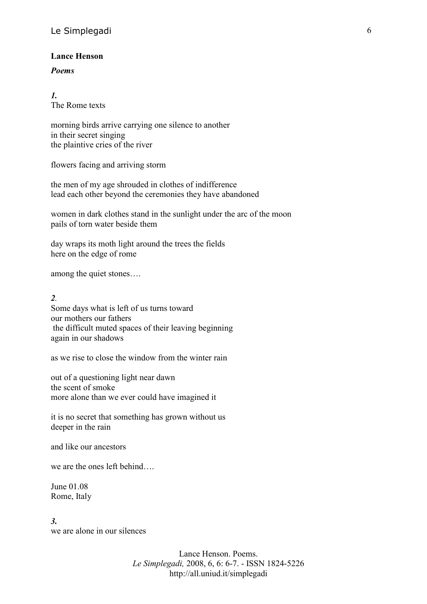## **Lance Henson**

## *Poems*

*1.* The Rome texts

morning birds arrive carrying one silence to another in their secret singing the plaintive cries of the river

flowers facing and arriving storm

the men of my age shrouded in clothes of indifference lead each other beyond the ceremonies they have abandoned

women in dark clothes stand in the sunlight under the arc of the moon pails of torn water beside them

day wraps its moth light around the trees the fields here on the edge of rome

among the quiet stones….

*2.*

Some days what is left of us turns toward our mothers our fathers the difficult muted spaces of their leaving beginning again in our shadows

as we rise to close the window from the winter rain

out of a questioning light near dawn the scent of smoke more alone than we ever could have imagined it

it is no secret that something has grown without us deeper in the rain

and like our ancestors

we are the ones left behind….

June 01.08 Rome, Italy

*3.* we are alone in our silences

> Lance Henson. Poems. *Le Simplegadi,* 2008, 6, 6: 6-7. - ISSN 1824-5226 http://all.uniud.it/simplegadi